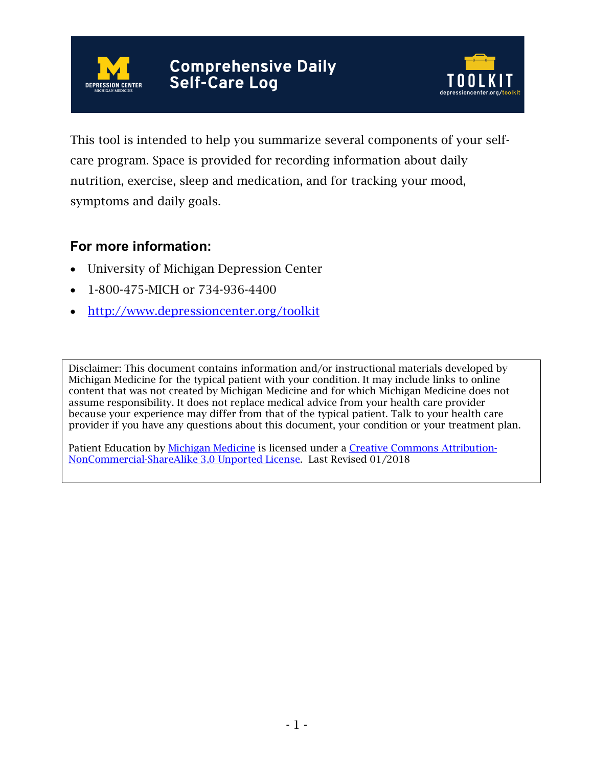



This tool is intended to help you summarize several components of your selfcare program. Space is provided for recording information about daily nutrition, exercise, sleep and medication, and for tracking your mood, symptoms and daily goals.

## **For more information:**

- University of Michigan Depression Center
- 1-800-475-MICH or 734-936-4400
- http://www.depressioncenter.org/toolkit

Disclaimer: This document contains information and/or instructional materials developed by Michigan Medicine for the typical patient with your condition. It may include links to online content that was not created by Michigan Medicine and for which Michigan Medicine does not assume responsibility. It does not replace medical advice from your health care provider because your experience may differ from that of the typical patient. Talk to your health care provider if you have any questions about this document, your condition or your treatment plan.

Patient Education by Michigan Medicine is licensed under a Creative Commons Attribution-NonCommercial-ShareAlike 3.0 Unported License. Last Revised 01/2018